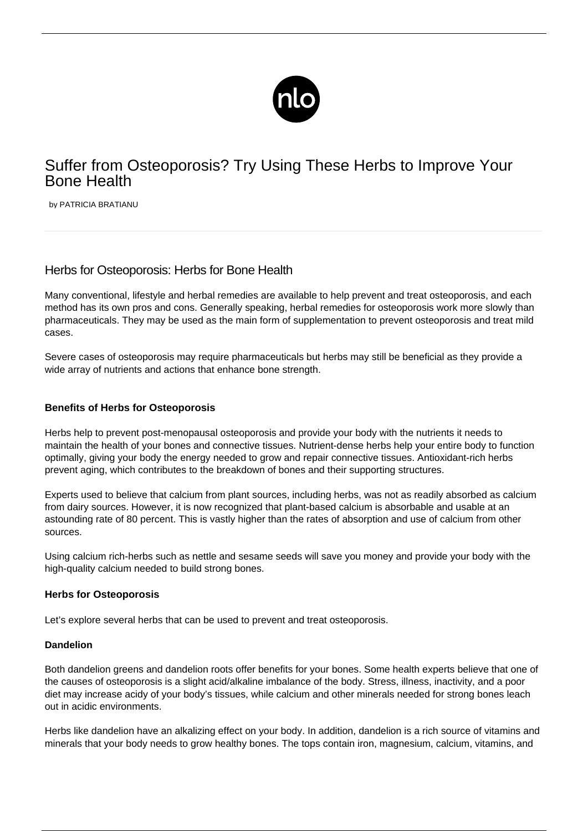

# Suffer from Osteoporosis? Try Using These Herbs to Improve Your Bone Health

by PATRICIA BRATIANU

## Herbs for Osteoporosis: Herbs for Bone Health

Many conventional, lifestyle and herbal remedies are available to help prevent and treat osteoporosis, and each method has its own pros and cons. Generally speaking, herbal remedies for osteoporosis work more slowly than pharmaceuticals. They may be used as the main form of supplementation to prevent osteoporosis and treat mild cases.

Severe cases of osteoporosis may require pharmaceuticals but herbs may still be beneficial as they provide a wide array of nutrients and actions that enhance bone strength.

## **Benefits of Herbs for Osteoporosis**

Herbs help to prevent post-menopausal osteoporosis and provide your body with the nutrients it needs to maintain the health of your bones and connective tissues. Nutrient-dense herbs help your entire body to function optimally, giving your body the energy needed to grow and repair connective tissues. Antioxidant-rich herbs prevent aging, which contributes to the breakdown of bones and their supporting structures.

Experts used to believe that calcium from plant sources, including herbs, was not as readily absorbed as calcium from dairy sources. However, it is now recognized that plant-based calcium is absorbable and usable at an astounding rate of 80 percent. This is vastly higher than the rates of absorption and use of calcium from other sources.

Using calcium rich-herbs such as nettle and sesame seeds will save you money and provide your body with the high-quality calcium needed to build strong bones.

#### **Herbs for Osteoporosis**

Let's explore several herbs that can be used to prevent and treat osteoporosis.

## **Dandelion**

Both dandelion greens and dandelion roots offer benefits for your bones. Some health experts believe that one of the causes of osteoporosis is a slight acid/alkaline imbalance of the body. Stress, illness, inactivity, and a poor diet may increase acidy of your body's tissues, while calcium and other minerals needed for strong bones leach out in acidic environments.

Herbs like dandelion have an alkalizing effect on your body. In addition, dandelion is a rich source of vitamins and minerals that your body needs to grow healthy bones. The tops contain iron, magnesium, calcium, vitamins, and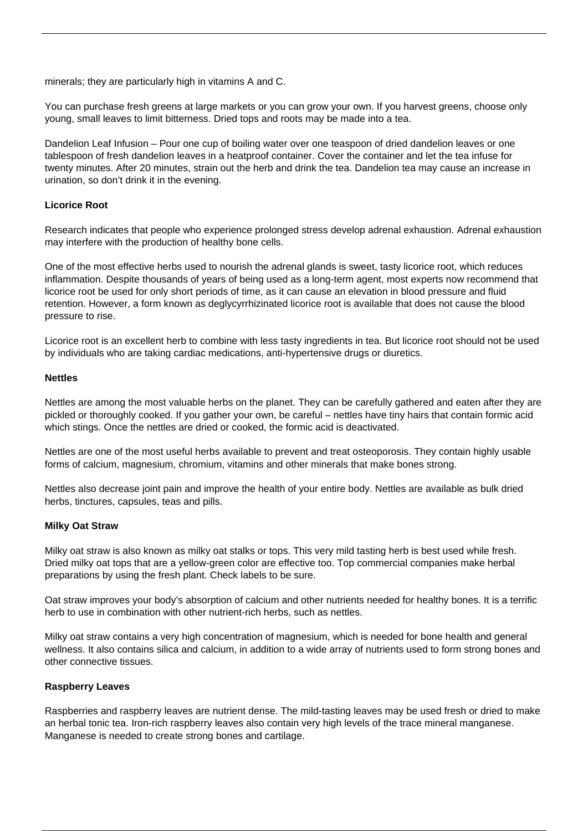minerals; they are particularly high in vitamins A and C.

You can purchase fresh greens at large markets or you can grow your own. If you harvest greens, choose only young, small leaves to limit bitterness. Dried tops and roots may be made into a tea.

Dandelion Leaf Infusion – Pour one cup of boiling water over one teaspoon of dried dandelion leaves or one tablespoon of fresh dandelion leaves in a heatproof container. Cover the container and let the tea infuse for twenty minutes. After 20 minutes, strain out the herb and drink the tea. Dandelion tea may cause an increase in urination, so don't drink it in the evening.

## **Licorice Root**

Research indicates that people who experience prolonged stress develop adrenal exhaustion. Adrenal exhaustion may interfere with the production of healthy bone cells.

One of the most effective herbs used to nourish the adrenal glands is sweet, tasty licorice root, which reduces inflammation. Despite thousands of years of being used as a long-term agent, most experts now recommend that licorice root be used for only short periods of time, as it can cause an elevation in blood pressure and fluid retention. However, a form known as deglycyrrhizinated licorice root is available that does not cause the blood pressure to rise.

Licorice root is an excellent herb to combine with less tasty ingredients in tea. But licorice root should not be used by individuals who are taking cardiac medications, anti-hypertensive drugs or diuretics.

#### **Nettles**

Nettles are among the most valuable herbs on the planet. They can be carefully gathered and eaten after they are pickled or thoroughly cooked. If you gather your own, be careful – nettles have tiny hairs that contain formic acid which stings. Once the nettles are dried or cooked, the formic acid is deactivated.

Nettles are one of the most useful herbs available to prevent and treat osteoporosis. They contain highly usable forms of calcium, magnesium, chromium, vitamins and other minerals that make bones strong.

Nettles also decrease joint pain and improve the health of your entire body. Nettles are available as bulk dried herbs, tinctures, capsules, teas and pills.

#### **Milky Oat Straw**

Milky oat straw is also known as milky oat stalks or tops. This very mild tasting herb is best used while fresh. Dried milky oat tops that are a yellow-green color are effective too. Top commercial companies make herbal preparations by using the fresh plant. Check labels to be sure.

Oat straw improves your body's absorption of calcium and other nutrients needed for healthy bones. It is a terrific herb to use in combination with other nutrient-rich herbs, such as nettles.

Milky oat straw contains a very high concentration of magnesium, which is needed for bone health and general wellness. It also contains silica and calcium, in addition to a wide array of nutrients used to form strong bones and other connective tissues.

#### **Raspberry Leaves**

Raspberries and raspberry leaves are nutrient dense. The mild-tasting leaves may be used fresh or dried to make an herbal tonic tea. Iron-rich raspberry leaves also contain very high levels of the trace mineral manganese. Manganese is needed to create strong bones and cartilage.